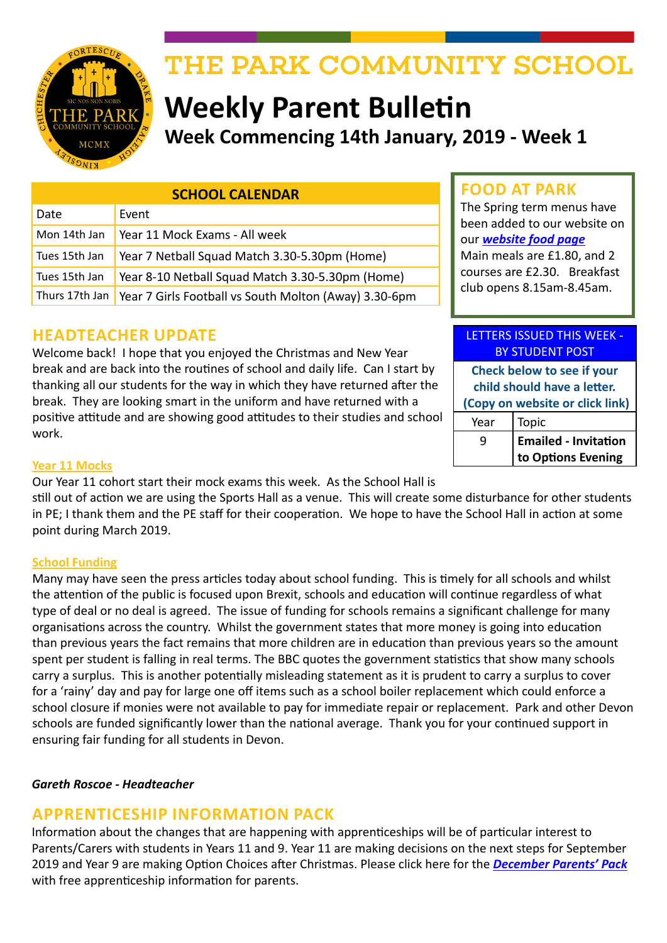

# THE PARK COMMUNITY SCHOOL

# **Weekly Parent Bulletin Week Commencing 14th January, 2019 - Week 1**

| <b>SCHOOL CALENDAR</b> |                                                       |  |  |  |  |  |
|------------------------|-------------------------------------------------------|--|--|--|--|--|
| Date                   | Event                                                 |  |  |  |  |  |
| Mon 14th Jan           | Year 11 Mock Exams - All week                         |  |  |  |  |  |
| Tues 15th Jan          | Year 7 Netball Squad Match 3.30-5.30pm (Home)         |  |  |  |  |  |
| Tues 15th Jan          | Year 8-10 Netball Squad Match 3.30-5.30pm (Home)      |  |  |  |  |  |
| Thurs 17th Jan         | Year 7 Girls Football vs South Molton (Away) 3.30-6pm |  |  |  |  |  |

## **HEADTEACHER UPDATE**

Welcome back! I hope that you enjoyed the Christmas and New Year break and are back into the routines of school and daily life. Can I start by thanking all our students for the way in which they have returned after the break. They are looking smart in the uniform and have returned with a positive attitude and are showing good attitudes to their studies and school work.

## **FOOD AT PARK**

The Spring term menus have been added to our website on our *[website food page](http://www.theparkschool.org.uk/food-park)* Main meals are £1.80, and 2 courses are £2.30. Breakfast club opens 8.15am-8.45am.

## LETTERS ISSUED THIS WEEK - BY STUDENT POST

**Check below to see if your child should have a letter. (Copy on website or click link)** Year | Topic

| 9 | <b>Emailed - Invitation</b> |
|---|-----------------------------|
|   | to Options Evening          |

#### **Year 11 Mocks**

Our Year 11 cohort start their mock exams this week. As the School Hall is still out of action we are using the Sports Hall as a venue. This will create some disturbance for other students in PE; I thank them and the PE staff for their cooperation. We hope to have the School Hall in action at some point during March 2019.

#### **School Funding**

Many may have seen the press articles today about school funding. This is timely for all schools and whilst the attention of the public is focused upon Brexit, schools and education will continue regardless of what type of deal or no deal is agreed. The issue of funding for schools remains a significant challenge for many organisations across the country. Whilst the government states that more money is going into education than previous years the fact remains that more children are in education than previous years so the amount spent per student is falling in real terms. The BBC quotes the government statistics that show many schools carry a surplus. This is another potentially misleading statement as it is prudent to carry a surplus to cover for a 'rainy' day and pay for large one off items such as a school boiler replacement which could enforce a school closure if monies were not available to pay for immediate repair or replacement. Park and other Devon schools are funded significantly lower than the national average. Thank you for your continued support in ensuring fair funding for all students in Devon.

#### *Gareth Roscoe - Headteacher*

## **APPRENTICESHIP INFORMATION PACK**

Information about the changes that are happening with apprenticeships will be of particular interest to Parents/Carers with students in Years 11 and 9. Year 11 are making decisions on the next steps for September 2019 and Year 9 are making Option Choices after Christmas. Please click here for the *[December Parents' Pack](https://amazingapprenticeships.com/app/uploads/2018/12/Parent-Pack-December.pdf)* with free apprenticeship information for parents.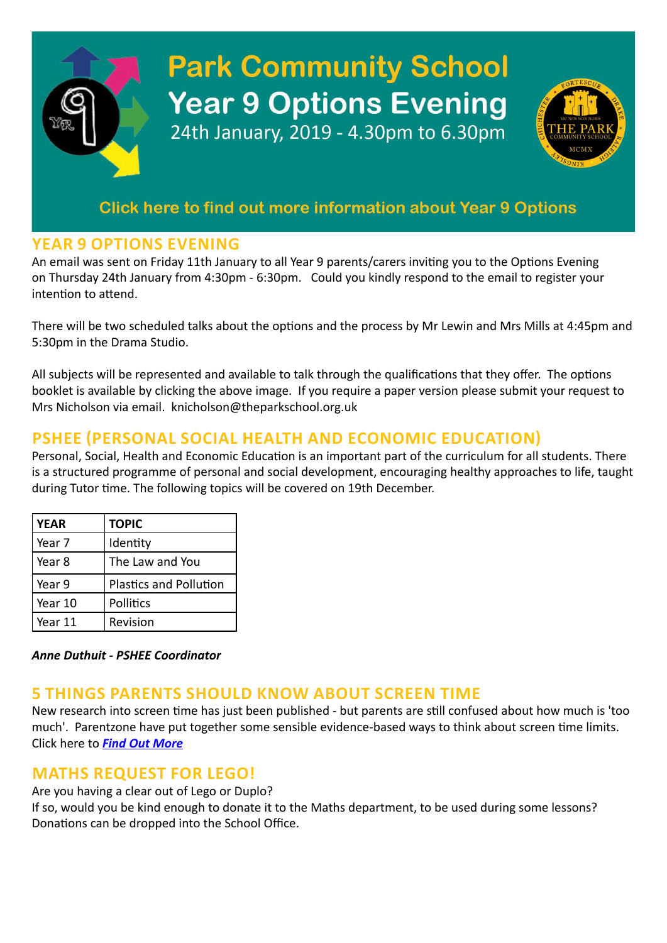# **Park Community School Year 9 Options Evening** 24th January, 2019 - 4.30pm to 6.30pm



## **YEAR 9 OPTIONS EVENING**

An email was sent on Friday 11th January to all Year 9 parents/carers inviting you to the Options Evening on Thursday 24th January from 4:30pm - 6:30pm. Could you kindly respond to the email to register your intention to attend.

There will be two scheduled talks about the options and the process by Mr Lewin and Mrs Mills at 4:45pm and 5:30pm in the Drama Studio.

All subjects will be represented and available to talk through the qualifications that they offer. The options booklet is available by clicking the above image. If you require a paper version please submit your request to Mrs Nicholson via email. knicholson@theparkschool.org.uk

## **PSHEE (PERSONAL SOCIAL HEALTH AND ECONOMIC EDUCATION)**

Personal, Social, Health and Economic Education is an important part of the curriculum for all students. There is a structured programme of personal and social development, encouraging healthy approaches to life, taught during Tutor time. The following topics will be covered on 19th December.

| <b>YEAR</b> | <b>TOPIC</b>                  |  |  |  |  |
|-------------|-------------------------------|--|--|--|--|
| Year 7      | Identity                      |  |  |  |  |
| Year 8      | The Law and You               |  |  |  |  |
| Year 9      | <b>Plastics and Pollution</b> |  |  |  |  |
| Year 10     | Pollitics                     |  |  |  |  |
| Year 11     | Revision                      |  |  |  |  |

*Anne Duthuit - PSHEE Coordinator*

## **5 THINGS PARENTS SHOULD KNOW ABOUT SCREEN TIME**

New research into screen time has just been published - but parents are still confused about how much is 'too much'. Parentzone have put together some sensible evidence-based ways to think about screen time limits. Click here to *[Find Out More](https://parentzone.org.uk/article/5-things-parents-should-know-about-screen-time?utm_source=Mailing%208%20Jan&utm_medium=email&utm_campaign=PZ%20screen%20time%20article)*

## **MATHS REQUEST FOR LEGO!**

Are you having a clear out of Lego or Duplo?

If so, would you be kind enough to donate it to the Maths department, to be used during some lessons? Donations can be dropped into the School Office.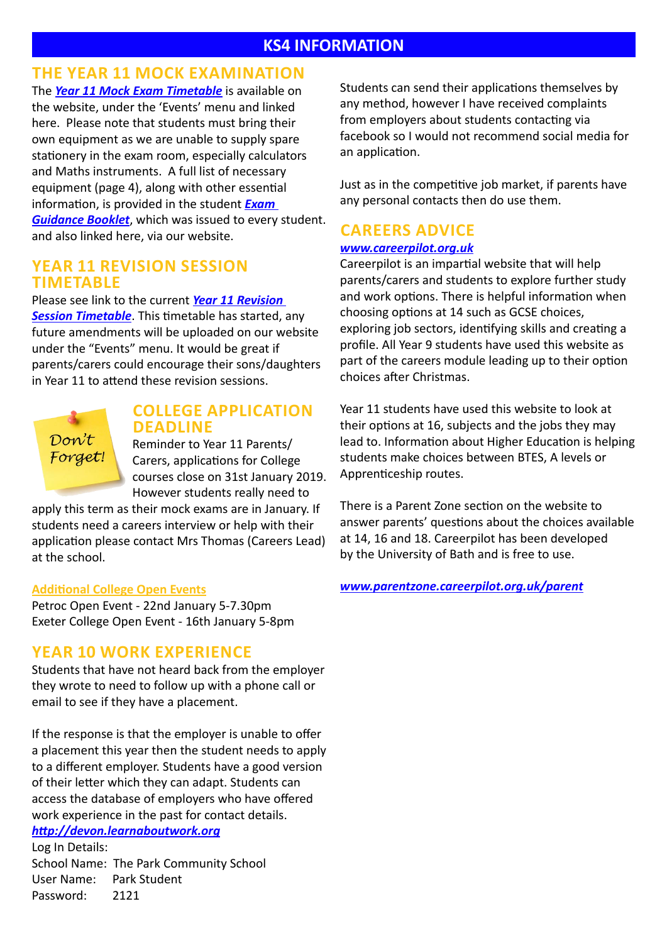#### **KS4 INFORMATION**

## **THE YEAR 11 MOCK EXAMINATION**

The *[Year 11 Mock Exam Timetable](http://www.theparkschool.org.uk/sites/default/files/Year11-Mocks-Jan19-Student-Version.pdf)* is available on the website, under the 'Events' menu and linked here. Please note that students must bring their own equipment as we are unable to supply spare stationery in the exam room, especially calculators and Maths instruments. A full list of necessary equipment (page 4), along with other essential information, is provided in the student *[Exam](http://www.theparkschool.org.uk/sites/default/files/Examination-Guidance-Booklet-2019.pdf)  [Guidance Booklet](http://www.theparkschool.org.uk/sites/default/files/Examination-Guidance-Booklet-2019.pdf)*, which was issued to every student. and also linked here, via our website.

#### **YEAR 11 REVISION SESSION TIMETABLE**

Please see link to the current *[Year 11 Revision](https://docs.google.com/document/d/1dNMh7-L1kyihGF64pufxK6rpksF0LmhP7VMcilHf7oM/edit?usp=sharing)  [Session Timetable](https://docs.google.com/document/d/1dNMh7-L1kyihGF64pufxK6rpksF0LmhP7VMcilHf7oM/edit?usp=sharing)*. This timetable has started, any future amendments will be uploaded on our website under the "Events" menu. It would be great if parents/carers could encourage their sons/daughters in Year 11 to attend these revision sessions.



#### **COLLEGE APPLICATION DEADLINE**

Reminder to Year 11 Parents/ Carers, applications for College courses close on 31st January 2019. However students really need to

apply this term as their mock exams are in January. If students need a careers interview or help with their application please contact Mrs Thomas (Careers Lead) at the school.

#### **Additional College Open Events**

Petroc Open Event - 22nd January 5-7.30pm Exeter College Open Event - 16th January 5-8pm

#### **YEAR 10 WORK EXPERIENCE**

Students that have not heard back from the employer they wrote to need to follow up with a phone call or email to see if they have a placement.

If the response is that the employer is unable to offer a placement this year then the student needs to apply to a different employer. Students have a good version of their letter which they can adapt. Students can access the database of employers who have offered work experience in the past for contact details.

*<http://devon.learnaboutwork.org>* Log In Details: School Name: The Park Community School User Name: Park Student Password: 2121

Students can send their applications themselves by any method, however I have received complaints from employers about students contacting via facebook so I would not recommend social media for an application.

Just as in the competitive job market, if parents have any personal contacts then do use them.

## **CAREERS ADVICE**

#### *[www.careerpilot.org.uk](http://www.careerpilot.org.uk)*

Careerpilot is an impartial website that will help parents/carers and students to explore further study and work options. There is helpful information when choosing options at 14 such as GCSE choices, exploring job sectors, identifying skills and creating a profile. All Year 9 students have used this website as part of the careers module leading up to their option choices after Christmas.

Year 11 students have used this website to look at their options at 16, subjects and the jobs they may lead to. Information about Higher Education is helping students make choices between BTES, A levels or Apprenticeship routes.

There is a Parent Zone section on the website to answer parents' questions about the choices available at 14, 16 and 18. Careerpilot has been developed by the University of Bath and is free to use.

*[www.parentzone.careerpilot.org.uk/parent](http://www.parentzone.careerpilot.org.uk/parent)*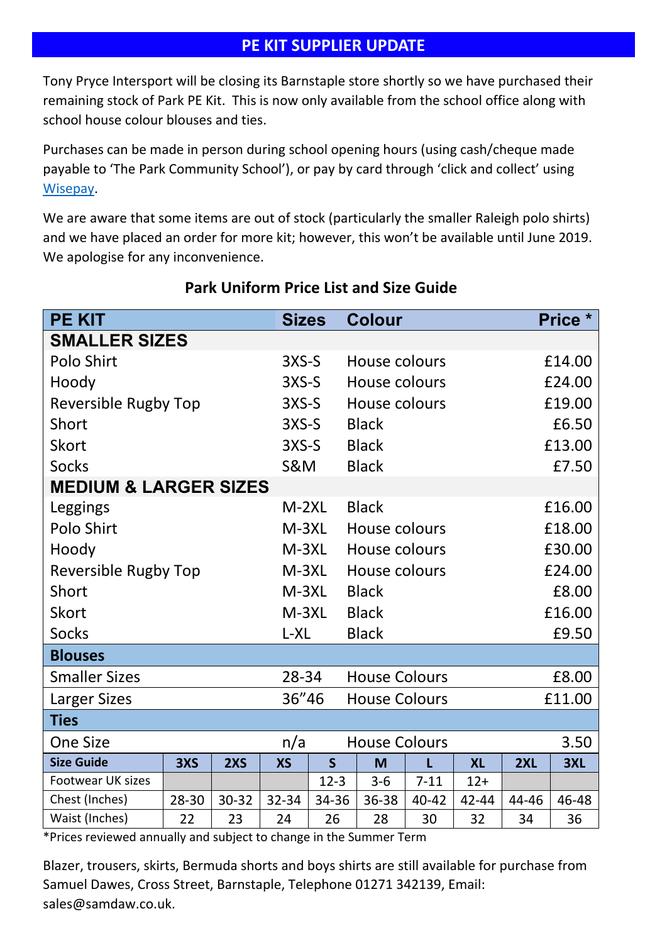## **PE KIT SUPPLIER UPDATE**

Tony Pryce Intersport will be closing its Barnstaple store shortly so we have purchased their remaining stock of Park PE Kit. This is now only available from the school office along with school house colour blouses and ties.

Purchases can be made in person during school opening hours (using cash/cheque made payable to 'The Park Community School'), or pay by card through 'click and collect' using Wisepay.

We are aware that some items are out of stock (particularly the smaller Raleigh polo shirts) and we have placed an order for more kit; however, this won't be available until June 2019. We apologise for any inconvenience.

| <b>PE KIT</b>                    |       |           | <b>Sizes</b>   |                               | <b>Colour</b>        |          |           |        | Price * |  |  |  |
|----------------------------------|-------|-----------|----------------|-------------------------------|----------------------|----------|-----------|--------|---------|--|--|--|
| <b>SMALLER SIZES</b>             |       |           |                |                               |                      |          |           |        |         |  |  |  |
| Polo Shirt                       |       |           | $3XS-S$        |                               | House colours        |          |           | £14.00 |         |  |  |  |
| Hoody                            |       |           | $3XS-S$        |                               | House colours        |          | £24.00    |        |         |  |  |  |
| <b>Reversible Rugby Top</b>      |       |           | $3XS-S$        |                               | House colours        |          | £19.00    |        |         |  |  |  |
| Short                            |       |           | $3XS-S$        |                               | <b>Black</b>         |          | £6.50     |        |         |  |  |  |
| <b>Skort</b>                     |       |           | $3XS-S$        |                               | <b>Black</b>         |          |           | £13.00 |         |  |  |  |
| <b>Socks</b>                     |       |           | <b>S&amp;M</b> |                               | <b>Black</b>         | £7.50    |           |        |         |  |  |  |
| <b>MEDIUM &amp; LARGER SIZES</b> |       |           |                |                               |                      |          |           |        |         |  |  |  |
| Leggings                         |       |           | $M-2XL$        |                               | <b>Black</b>         |          | £16.00    |        |         |  |  |  |
| Polo Shirt                       |       |           | $M-3XL$        |                               | House colours        |          | £18.00    |        |         |  |  |  |
| Hoody                            |       |           | $M-3XL$        |                               | House colours        |          | £30.00    |        |         |  |  |  |
| <b>Reversible Rugby Top</b>      |       |           | M-3XL          |                               | House colours        |          | £24.00    |        |         |  |  |  |
| Short                            |       |           | $M-3XL$        |                               | <b>Black</b>         |          | £8.00     |        |         |  |  |  |
| <b>Skort</b>                     |       |           | $M-3XL$        |                               | <b>Black</b>         |          | £16.00    |        |         |  |  |  |
| <b>Socks</b>                     |       |           | L-XL           |                               | <b>Black</b>         | £9.50    |           |        |         |  |  |  |
| <b>Blouses</b>                   |       |           |                |                               |                      |          |           |        |         |  |  |  |
| <b>Smaller Sizes</b>             |       |           | 28-34          |                               | <b>House Colours</b> |          |           | £8.00  |         |  |  |  |
| Larger Sizes                     |       |           |                | 36"46<br><b>House Colours</b> |                      |          |           | £11.00 |         |  |  |  |
| <b>Ties</b>                      |       |           |                |                               |                      |          |           |        |         |  |  |  |
| <b>One Size</b>                  |       |           | n/a            |                               | <b>House Colours</b> |          |           |        | 3.50    |  |  |  |
| <b>Size Guide</b>                | 3XS   | 2XS       | <b>XS</b>      | $\mathsf{S}$                  | M                    | L        | <b>XL</b> | 2XL    | 3XL     |  |  |  |
| Footwear UK sizes                |       |           |                | $12-3$                        | $3 - 6$              | $7 - 11$ | $12+$     |        |         |  |  |  |
| Chest (Inches)                   | 28-30 | $30 - 32$ | 32-34          | 34-36                         | 36-38                | 40-42    | 42-44     | 44-46  | 46-48   |  |  |  |
| Waist (Inches)                   | 22    | 23        | 24             | 26                            | 28                   | 30       | 32        | 34     | 36      |  |  |  |

## **Park Uniform Price List and Size Guide**

\*Prices reviewed annually and subject to change in the Summer Term

Blazer, trousers, skirts, Bermuda shorts and boys shirts are still available for purchase from Samuel Dawes, Cross Street, Barnstaple, Telephone 01271 342139, Email: sales@samdaw.co.uk.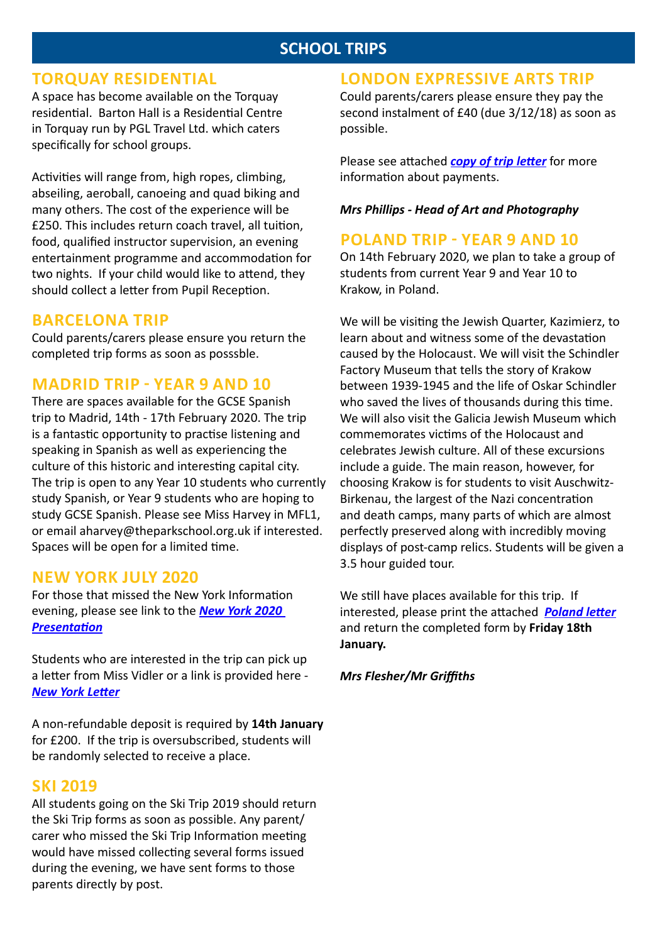## **SCHOOL TRIPS**

#### **TORQUAY RESIDENTIAL**

A space has become available on the Torquay residential. Barton Hall is a Residential Centre in Torquay run by PGL Travel Ltd. which caters specifically for school groups.

Activities will range from, high ropes, climbing, abseiling, aeroball, canoeing and quad biking and many others. The cost of the experience will be £250. This includes return coach travel, all tuition, food, qualified instructor supervision, an evening entertainment programme and accommodation for two nights. If your child would like to attend, they should collect a letter from Pupil Reception.

## **BARCELONA TRIP**

Could parents/carers please ensure you return the completed trip forms as soon as posssble.

## **MADRID TRIP - YEAR 9 AND 10**

There are spaces available for the GCSE Spanish trip to Madrid, 14th - 17th February 2020. The trip is a fantastic opportunity to practise listening and speaking in Spanish as well as experiencing the culture of this historic and interesting capital city. The trip is open to any Year 10 students who currently study Spanish, or Year 9 students who are hoping to study GCSE Spanish. Please see Miss Harvey in MFL1, or email aharvey@theparkschool.org.uk if interested. Spaces will be open for a limited time.

## **NEW YORK JULY 2020**

For those that missed the New York Information evening, please see link to the *[New York 2020](http://www.theparkschool.org.uk/sites/default/files/NewYorkMeetingPowerPoint-July2020.pdf)  [Presentation](http://www.theparkschool.org.uk/sites/default/files/NewYorkMeetingPowerPoint-July2020.pdf)*

Students who are interested in the trip can pick up a letter from Miss Vidler or a link is provided here - *[New York Letter](http://www.theparkschool.org.uk/sites/default/files/New-YorkPaymentPlanItinerary2020.pdf)*

A non-refundable deposit is required by **14th January** for £200. If the trip is oversubscribed, students will be randomly selected to receive a place.

#### **SKI 2019**

All students going on the Ski Trip 2019 should return the Ski Trip forms as soon as possible. Any parent/ carer who missed the Ski Trip Information meeting would have missed collecting several forms issued during the evening, we have sent forms to those parents directly by post.

## **LONDON EXPRESSIVE ARTS TRIP**

Could parents/carers please ensure they pay the second instalment of £40 (due 3/12/18) as soon as possible.

Please see attached *[copy of trip letter](http://www.theparkschool.org.uk/sites/default/files/London%20Payments.pdf)* for more information about payments.

#### *Mrs Phillips - Head of Art and Photography*

## **POLAND TRIP - YEAR 9 AND 10**

On 14th February 2020, we plan to take a group of students from current Year 9 and Year 10 to Krakow, in Poland.

We will be visiting the Jewish Quarter, Kazimierz, to learn about and witness some of the devastation caused by the Holocaust. We will visit the Schindler Factory Museum that tells the story of Krakow between 1939-1945 and the life of Oskar Schindler who saved the lives of thousands during this time. We will also visit the Galicia Jewish Museum which commemorates victims of the Holocaust and celebrates Jewish culture. All of these excursions include a guide. The main reason, however, for choosing Krakow is for students to visit Auschwitz-Birkenau, the largest of the Nazi concentration and death camps, many parts of which are almost perfectly preserved along with incredibly moving displays of post-camp relics. Students will be given a 3.5 hour guided tour.

We still have places available for this trip. If interested, please print the attached *[Poland letter](http://www.theparkschool.org.uk/sites/default/files/Poland-letter-2018.pdf)* and return the completed form by **Friday 18th January.**

*Mrs Flesher/Mr Griffiths*